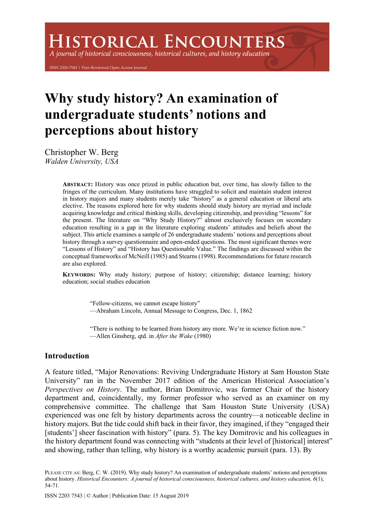# **ISTORICAL ENCOUNTERS**

A journal of historical consciousness, historical cultures, and history education

ISSN 2203-7543 | Peer-Reviewed Open Access Journal

# **Why study history? An examination of undergraduate students' notions and perceptions about history**

Christopher W. Berg *Walden University, USA*

> **ABSTRACT:** History was once prized in public education but, over time, has slowly fallen to the fringes of the curriculum. Many institutions have struggled to solicit and maintain student interest in history majors and many students merely take "history" as a general education or liberal arts elective. The reasons explored here for why students should study history are myriad and include acquiring knowledge and critical thinking skills, developing citizenship, and providing "lessons" for the present. The literature on "Why Study History?" almost exclusively focuses on secondary education resulting in a gap in the literature exploring students' attitudes and beliefs about the subject. This article examines a sample of 26 undergraduate students' notions and perceptions about history through a survey questionnaire and open-ended questions. The most significant themes were "Lessons of History" and "History has Questionable Value." The findings are discussed within the conceptual frameworks of McNeill (1985) and Stearns (1998). Recommendations for future research are also explored.

> **KEYWORDS:** Why study history; purpose of history; citizenship; distance learning; history education; social studies education

> > "Fellow-citizens, we cannot escape history" —Abraham Lincoln, Annual Message to Congress, Dec. 1, 1862

"There is nothing to be learned from history any more. We're in science fiction now." —Allen Ginsberg, qtd. in *After the Wake* (1980)

# **Introduction**

A feature titled, "Major Renovations: Reviving Undergraduate History at Sam Houston State University" ran in the November 2017 edition of the American Historical Association's *Perspectives on History*. The author, Brian Domitrovic, was former Chair of the history department and, coincidentally, my former professor who served as an examiner on my comprehensive committee. The challenge that Sam Houston State University (USA) experienced was one felt by history departments across the country—a noticeable decline in history majors. But the tide could shift back in their favor, they imagined, if they "engaged their [students'] sheer fascination with history" (para. 5). The key Domitrovic and his colleagues in the history department found was connecting with "students at their level of [historical] interest" and showing, rather than telling, why history is a worthy academic pursuit (para. 13). By

PLEASE CITE AS: Berg, C. W. (2019). Why study history? An examination of undergraduate students' notions and perceptions about history. *Historical Encounters: A journal of historical consciousness, historical cultures, and history education, 6*(1), 54-71.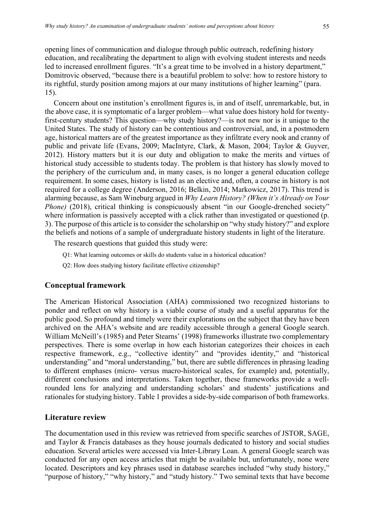opening lines of communication and dialogue through public outreach, redefining history education, and recalibrating the department to align with evolving student interests and needs led to increased enrollment figures. "It's a great time to be involved in a history department," Domitrovic observed, "because there is a beautiful problem to solve: how to restore history to its rightful, sturdy position among majors at our many institutions of higher learning" (para. 15).

Concern about one institution's enrollment figures is, in and of itself, unremarkable, but, in the above case, it is symptomatic of a larger problem—what value does history hold for twentyfirst-century students? This question—why study history?—is not new nor is it unique to the United States. The study of history can be contentious and controversial, and, in a postmodern age, historical matters are of the greatest importance as they infiltrate every nook and cranny of public and private life (Evans, 2009; MacIntyre, Clark, & Mason, 2004; Taylor & Guyver, 2012). History matters but it is our duty and obligation to make the merits and virtues of historical study accessible to students today. The problem is that history has slowly moved to the periphery of the curriculum and, in many cases, is no longer a general education college requirement. In some cases, history is listed as an elective and, often, a course in history is not required for a college degree (Anderson, 2016; Belkin, 2014; Markowicz, 2017). This trend is alarming because, as Sam Wineburg argued in *Why Learn History? (When it's Already on Your Phone*) (2018), critical thinking is conspicuously absent "in our Google-drenched society" where information is passively accepted with a click rather than investigated or questioned (p. 3). The purpose of this article is to consider the scholarship on "why study history?" and explore the beliefs and notions of a sample of undergraduate history students in light of the literature.

The research questions that guided this study were:

Q1: What learning outcomes or skills do students value in a historical education?

Q2: How does studying history facilitate effective citizenship?

# **Conceptual framework**

The American Historical Association (AHA) commissioned two recognized historians to ponder and reflect on why history is a viable course of study and a useful apparatus for the public good. So profound and timely were their explorations on the subject that they have been archived on the AHA's website and are readily accessible through a general Google search. William McNeill's (1985) and Peter Stearns' (1998) frameworks illustrate two complementary perspectives. There is some overlap in how each historian categorizes their choices in each respective framework, e.g., "collective identity" and "provides identity," and "historical understanding" and "moral understanding," but, there are subtle differences in phrasing leading to different emphases (micro- versus macro-historical scales, for example) and, potentially, different conclusions and interpretations. Taken together, these frameworks provide a wellrounded lens for analyzing and understanding scholars' and students' justifications and rationales for studying history. Table 1 provides a side-by-side comparison of both frameworks.

# **Literature review**

The documentation used in this review was retrieved from specific searches of JSTOR, SAGE, and Taylor & Francis databases as they house journals dedicated to history and social studies education. Several articles were accessed via Inter-Library Loan. A general Google search was conducted for any open access articles that might be available but, unfortunately, none were located. Descriptors and key phrases used in database searches included "why study history," "purpose of history," "why history," and "study history." Two seminal texts that have become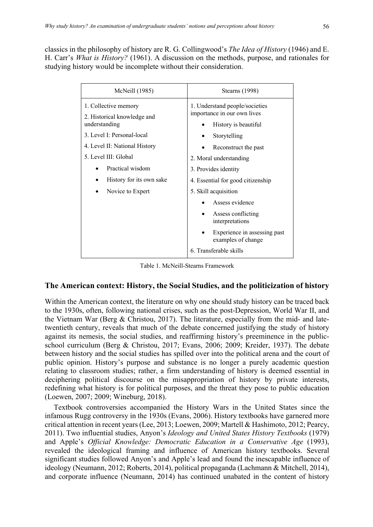classics in the philosophy of history are R. G. Collingwood's *The Idea of History* (1946) and E. H. Carr's *What is History?* (1961). A discussion on the methods, purpose, and rationales for studying history would be incomplete without their consideration.

| McNeill (1985)                                                       | Stearns (1998)                                                                        |
|----------------------------------------------------------------------|---------------------------------------------------------------------------------------|
| 1. Collective memory<br>2. Historical knowledge and<br>understanding | 1. Understand people/societies<br>importance in our own lives<br>History is beautiful |
| 3. Level I: Personal-local                                           | Storytelling                                                                          |
| 4. Level II: National History                                        | Reconstruct the past                                                                  |
| 5. Level III: Global                                                 | 2. Moral understanding                                                                |
| Practical wisdom                                                     | 3. Provides identity                                                                  |
| History for its own sake                                             | 4. Essential for good citizenship                                                     |
| Novice to Expert                                                     | 5. Skill acquisition                                                                  |
|                                                                      | Assess evidence                                                                       |
|                                                                      | Assess conflicting<br>interpretations                                                 |
|                                                                      | Experience in assessing past<br>examples of change                                    |
|                                                                      | 6. Transferable skills                                                                |

Table 1. McNeill-Stearns Framework

# **The American context: History, the Social Studies, and the politicization of history**

Within the American context, the literature on why one should study history can be traced back to the 1930s, often, following national crises, such as the post-Depression, World War II, and the Vietnam War (Berg & Christou, 2017). The literature, especially from the mid- and latetwentieth century, reveals that much of the debate concerned justifying the study of history against its nemesis, the social studies, and reaffirming history's preeminence in the publicschool curriculum (Berg & Christou, 2017; Evans, 2006; 2009; Kreider, 1937). The debate between history and the social studies has spilled over into the political arena and the court of public opinion. History's purpose and substance is no longer a purely academic question relating to classroom studies; rather, a firm understanding of history is deemed essential in deciphering political discourse on the misappropriation of history by private interests, redefining what history is for political purposes, and the threat they pose to public education (Loewen, 2007; 2009; Wineburg, 2018).

Textbook controversies accompanied the History Wars in the United States since the infamous Rugg controversy in the 1930s (Evans, 2006). History textbooks have garnered more critical attention in recent years (Lee, 2013; Loewen, 2009; Martell & Hashimoto, 2012; Pearcy, 2011). Two influential studies, Anyon's *Ideology and United States History Textbooks* (1979) and Apple's *Official Knowledge: Democratic Education in a Conservative Age* (1993), revealed the ideological framing and influence of American history textbooks. Several significant studies followed Anyon's and Apple's lead and found the inescapable influence of ideology (Neumann, 2012; Roberts, 2014), political propaganda (Lachmann & Mitchell, 2014), and corporate influence (Neumann, 2014) has continued unabated in the content of history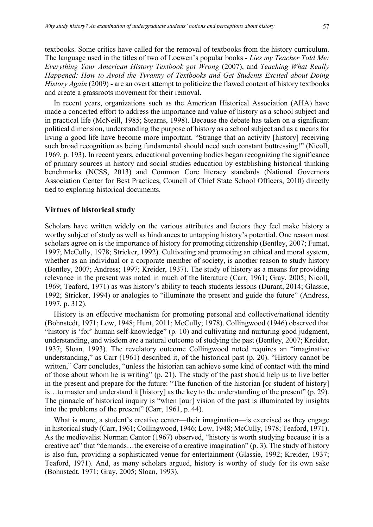textbooks. Some critics have called for the removal of textbooks from the history curriculum. The language used in the titles of two of Loewen's popular books - *Lies my Teacher Told Me: Everything Your American History Textbook got Wrong* (2007), and *Teaching What Really Happened: How to Avoid the Tyranny of Textbooks and Get Students Excited about Doing History Again* (2009) - are an overt attempt to politicize the flawed content of history textbooks and create a grassroots movement for their removal.

In recent years, organizations such as the American Historical Association (AHA) have made a concerted effort to address the importance and value of history as a school subject and in practical life (McNeill, 1985; Stearns, 1998). Because the debate has taken on a significant political dimension, understanding the purpose of history as a school subject and as a means for living a good life have become more important. "Strange that an activity [history] receiving such broad recognition as being fundamental should need such constant buttressing!" (Nicoll, 1969, p. 193). In recent years, educational governing bodies began recognizing the significance of primary sources in history and social studies education by establishing historical thinking benchmarks (NCSS, 2013) and Common Core literacy standards (National Governors Association Center for Best Practices, Council of Chief State School Officers, 2010) directly tied to exploring historical documents.

# **Virtues of historical study**

Scholars have written widely on the various attributes and factors they feel make history a worthy subject of study as well as hindrances to untapping history's potential. One reason most scholars agree on is the importance of history for promoting citizenship (Bentley, 2007; Fumat, 1997; McCully, 1978; Stricker, 1992). Cultivating and promoting an ethical and moral system, whether as an individual or a corporate member of society, is another reason to study history (Bentley, 2007; Andress; 1997; Kreider, 1937). The study of history as a means for providing relevance in the present was noted in much of the literature (Carr, 1961; Gray, 2005; Nicoll, 1969; Teaford, 1971) as was history's ability to teach students lessons (Durant, 2014; Glassie, 1992; Stricker, 1994) or analogies to "illuminate the present and guide the future" (Andress, 1997, p. 312).

History is an effective mechanism for promoting personal and collective/national identity (Bohnstedt, 1971; Low, 1948; Hunt, 2011; McCully; 1978). Collingwood (1946) observed that "history is 'for' human self-knowledge" (p. 10) and cultivating and nurturing good judgment, understanding, and wisdom are a natural outcome of studying the past (Bentley, 2007; Kreider, 1937; Sloan, 1993). The revelatory outcome Collingwood noted requires an "imaginative understanding," as Carr (1961) described it, of the historical past (p. 20). "History cannot be written," Carr concludes, "unless the historian can achieve some kind of contact with the mind of those about whom he is writing" (p. 21). The study of the past should help us to live better in the present and prepare for the future: "The function of the historian [or student of history] is…to master and understand it [history] as the key to the understanding of the present" (p. 29). The pinnacle of historical inquiry is "when [our] vision of the past is illuminated by insights into the problems of the present" (Carr, 1961, p. 44).

What is more, a student's creative center—their imagination—is exercised as they engage in historical study (Carr, 1961; Collingwood, 1946; Low, 1948; McCully, 1978; Teaford, 1971). As the medievalist Norman Cantor (1967) observed, "history is worth studying because it is a creative act" that "demands…the exercise of a creative imagination" (p. 3). The study of history is also fun, providing a sophisticated venue for entertainment (Glassie, 1992; Kreider, 1937; Teaford, 1971). And, as many scholars argued, history is worthy of study for its own sake (Bohnstedt, 1971; Gray, 2005; Sloan, 1993).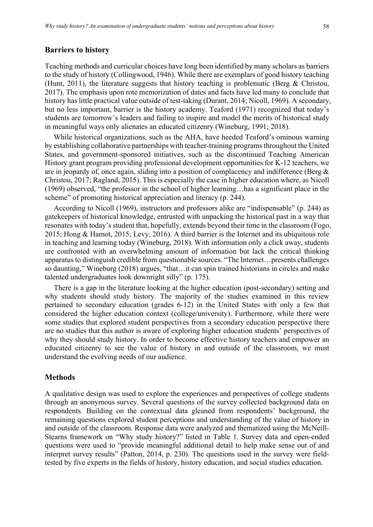#### **Barriers to history**

Teaching methods and curricular choices have long been identified by many scholars as barriers to the study of history (Collingwood, 1946). While there are exemplars of good history teaching (Hunt, 2011), the literature suggests that history teaching is problematic (Berg & Christou, 2017). The emphasis upon rote memorization of dates and facts have led many to conclude that history has little practical value outside of test-taking (Durant, 2014; Nicoll, 1969). A secondary, but no less important, barrier is the history academy. Teaford (1971) recognized that today's students are tomorrow's leaders and failing to inspire and model the merits of historical study in meaningful ways only alienates an educated citizenry (Wineburg, 1991; 2018).

While historical organizations, such as the AHA, have heeded Teaford's ominous warning by establishing collaborative partnerships with teacher-training programs throughout the United States, and government-sponsored initiatives, such as the discontinued Teaching American History grant program providing professional development opportunities for K-12 teachers, we are in jeopardy of, once again, sliding into a position of complacency and indifference (Berg  $\&$ Christou, 2017; Ragland, 2015). This is especially the case in higher education where, as Nicoll (1969) observed, "the professor in the school of higher learning…has a significant place in the scheme" of promoting historical appreciation and literacy (p. 244).

According to Nicoll (1969), instructors and professors alike are "indispensable" (p. 244) as gatekeepers of historical knowledge, entrusted with unpacking the historical past in a way that resonates with today's student that, hopefully, extends beyond their time in the classroom (Fogo, 2015; Hong & Hamot, 2015; Levy, 2016). A third barrier is the Internet and its ubiquitous role in teaching and learning today (Wineburg, 2018). With information only a click away, students are confronted with an overwhelming amount of information but lack the critical thinking apparatus to distinguish credible from questionable sources. "The Internet…presents challenges so daunting," Wineburg (2018) argues, "that…it can spin trained historians in circles and make talented undergraduates look downright silly" (p. 175).

There is a gap in the literature looking at the higher education (post-secondary) setting and why students should study history. The majority of the studies examined in this review pertained to secondary education (grades 6-12) in the United States with only a few that considered the higher education context (college/university). Furthermore, while there were some studies that explored student perspectives from a secondary education perspective there are no studies that this author is aware of exploring higher education students' perspectives of why they should study history. In order to become effective history teachers and empower an educated citizenry to see the value of history in and outside of the classroom, we must understand the evolving needs of our audience.

#### **Methods**

A qualitative design was used to explore the experiences and perspectives of college students through an anonymous survey. Several questions of the survey collected background data on respondents. Building on the contextual data gleaned from respondents' background, the remaining questions explored student perceptions and understanding of the value of history in and outside of the classroom. Response data were analyzed and thematized using the McNeill-Stearns framework on "Why study history?" listed in Table 1. Survey data and open-ended questions were used to "provide meaningful additional detail to help make sense out of and interpret survey results" (Patton, 2014, p. 230). The questions used in the survey were fieldtested by five experts in the fields of history, history education, and social studies education.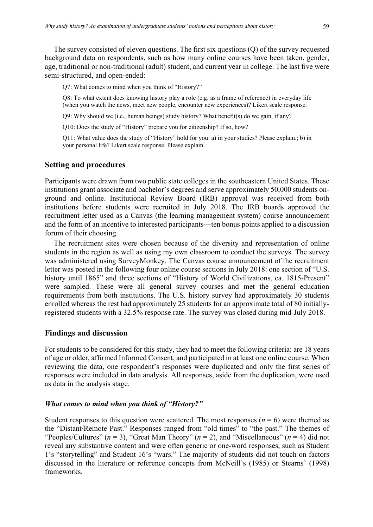The survey consisted of eleven questions. The first six questions (Q) of the survey requested background data on respondents, such as how many online courses have been taken, gender, age, traditional or non-traditional (adult) student, and current year in college. The last five were semi-structured, and open-ended:

Q7: What comes to mind when you think of "History?"

Q8: To what extent does knowing history play a role (e.g. as a frame of reference) in everyday life (when you watch the news, meet new people, encounter new experiences)? Likert scale response.

Q9: Why should we (i.e., human beings) study history? What benefit(s) do we gain, if any?

Q10: Does the study of "History" prepare you for citizenship? If so, how?

Q11: What value does the study of "History" hold for you: a) in your studies? Please explain.; b) in your personal life? Likert scale response. Please explain.

# **Setting and procedures**

Participants were drawn from two public state colleges in the southeastern United States. These institutions grant associate and bachelor's degrees and serve approximately 50,000 students onground and online. Institutional Review Board (IRB) approval was received from both institutions before students were recruited in July 2018. The IRB boards approved the recruitment letter used as a Canvas (the learning management system) course announcement and the form of an incentive to interested participants—ten bonus points applied to a discussion forum of their choosing.

The recruitment sites were chosen because of the diversity and representation of online students in the region as well as using my own classroom to conduct the surveys. The survey was administered using SurveyMonkey. The Canvas course announcement of the recruitment letter was posted in the following four online course sections in July 2018: one section of "U.S. history until 1865" and three sections of "History of World Civilizations, ca. 1815-Present" were sampled. These were all general survey courses and met the general education requirements from both institutions. The U.S. history survey had approximately 30 students enrolled whereas the rest had approximately 25 students for an approximate total of 80 initiallyregistered students with a 32.5% response rate. The survey was closed during mid-July 2018.

# **Findings and discussion**

For students to be considered for this study, they had to meet the following criteria: are 18 years of age or older, affirmed Informed Consent, and participated in at least one online course. When reviewing the data, one respondent's responses were duplicated and only the first series of responses were included in data analysis. All responses, aside from the duplication, were used as data in the analysis stage.

# *What comes to mind when you think of "History?"*

Student responses to this question were scattered. The most responses  $(n = 6)$  were themed as the "Distant/Remote Past." Responses ranged from "old times" to "the past." The themes of "Peoples/Cultures" (*n* = 3), "Great Man Theory" (*n* = 2), and "Miscellaneous" (*n* = 4) did not reveal any substantive content and were often generic or one-word responses, such as Student 1's "storytelling" and Student 16's "wars." The majority of students did not touch on factors discussed in the literature or reference concepts from McNeill's (1985) or Stearns' (1998) frameworks.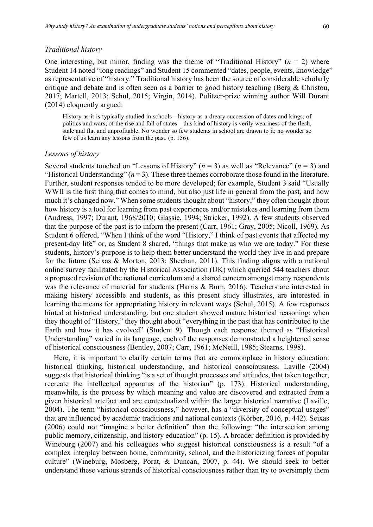#### *Traditional history*

One interesting, but minor, finding was the theme of "Traditional History"  $(n = 2)$  where Student 14 noted "long readings" and Student 15 commented "dates, people, events, knowledge" as representative of "history." Traditional history has been the source of considerable scholarly critique and debate and is often seen as a barrier to good history teaching (Berg & Christou, 2017; Martell, 2013; Schul, 2015; Virgin, 2014). Pulitzer-prize winning author Will Durant (2014) eloquently argued:

History as it is typically studied in schools—history as a dreary succession of dates and kings, of politics and wars, of the rise and fall of states—this kind of history is verily weariness of the flesh, stale and flat and unprofitable. No wonder so few students in school are drawn to it; no wonder so few of us learn any lessons from the past. (p. 156).

#### *Lessons of history*

Several students touched on "Lessons of History" (*n* = 3) as well as "Relevance" (*n* = 3) and "Historical Understanding"  $(n=3)$ . These three themes corroborate those found in the literature. Further, student responses tended to be more developed; for example, Student 3 said "Usually WWII is the first thing that comes to mind, but also just life in general from the past, and how much it's changed now." When some students thought about "history," they often thought about how history is a tool for learning from past experiences and/or mistakes and learning from them (Andress, 1997; Durant, 1968/2010; Glassie, 1994; Stricker, 1992). A few students observed that the purpose of the past is to inform the present (Carr, 1961; Gray, 2005; Nicoll, 1969). As Student 6 offered, "When I think of the word "History," I think of past events that affected my present-day life" or, as Student 8 shared, "things that make us who we are today." For these students, history's purpose is to help them better understand the world they live in and prepare for the future (Seixas & Morton, 2013; Sheehan, 2011). This finding aligns with a national online survey facilitated by the Historical Association (UK) which queried 544 teachers about a proposed revision of the national curriculum and a shared concern amongst many respondents was the relevance of material for students (Harris & Burn, 2016). Teachers are interested in making history accessible and students, as this present study illustrates, are interested in learning the means for appropriating history in relevant ways (Schul, 2015). A few responses hinted at historical understanding, but one student showed mature historical reasoning: when they thought of "History," they thought about "everything in the past that has contributed to the Earth and how it has evolved" (Student 9). Though each response themed as "Historical Understanding" varied in its language, each of the responses demonstrated a heightened sense of historical consciousness (Bentley, 2007; Carr, 1961; McNeill, 1985; Stearns, 1998).

Here, it is important to clarify certain terms that are commonplace in history education: historical thinking, historical understanding, and historical consciousness. Laville (2004) suggests that historical thinking "is a set of thought processes and attitudes, that taken together, recreate the intellectual apparatus of the historian" (p. 173). Historical understanding, meanwhile, is the process by which meaning and value are discovered and extracted from a given historical artefact and are contextualized within the larger historical narrative (Laville, 2004). The term "historical consciousness," however, has a "diversity of conceptual usages" that are influenced by academic traditions and national contexts (Körber, 2016, p. 442). Seixas (2006) could not "imagine a better definition" than the following: "the intersection among public memory, citizenship, and history education" (p. 15). A broader definition is provided by Wineburg (2007) and his colleagues who suggest historical consciousness is a result "of a complex interplay between home, community, school, and the historicizing forces of popular culture" (Wineburg, Mosberg, Porat, & Duncan, 2007, p. 44). We should seek to better understand these various strands of historical consciousness rather than try to oversimply them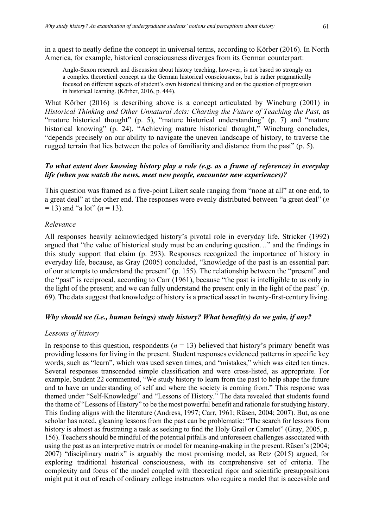in a quest to neatly define the concept in universal terms, according to Körber (2016). In North America, for example, historical consciousness diverges from its German counterpart:

Anglo-Saxon research and discussion about history teaching, however, is not based so strongly on a complex theoretical concept as the German historical consciousness, but is rather pragmatically focused on different aspects of student's own historical thinking and on the question of progression in historical learning. (Körber, 2016, p. 444).

What Körber (2016) is describing above is a concept articulated by Wineburg (2001) in *Historical Thinking and Other Unnatural Acts: Charting the Future of Teaching the Past*, as "mature historical thought" (p. 5), "mature historical understanding" (p. 7) and "mature historical knowing" (p. 24). "Achieving mature historical thought," Wineburg concludes, "depends precisely on our ability to navigate the uneven landscape of history, to traverse the rugged terrain that lies between the poles of familiarity and distance from the past" (p. 5).

# *To what extent does knowing history play a role (e.g. as a frame of reference) in everyday life (when you watch the news, meet new people, encounter new experiences)?*

This question was framed as a five-point Likert scale ranging from "none at all" at one end, to a great deal" at the other end. The responses were evenly distributed between "a great deal" (*n*  $= 13$ ) and "a lot" ( $n = 13$ ).

# *Relevance*

All responses heavily acknowledged history's pivotal role in everyday life. Stricker (1992) argued that "the value of historical study must be an enduring question…" and the findings in this study support that claim (p. 293). Responses recognized the importance of history in everyday life, because, as Gray (2005) concluded, "knowledge of the past is an essential part of our attempts to understand the present" (p. 155). The relationship between the "present" and the "past" is reciprocal, according to Carr (1961), because "the past is intelligible to us only in the light of the present; and we can fully understand the present only in the light of the past" (p. 69). The data suggest that knowledge of history is a practical asset in twenty-first-century living.

# *Why should we (i.e., human beings) study history? What benefit(s) do we gain, if any?*

# *Lessons of history*

In response to this question, respondents  $(n = 13)$  believed that history's primary benefit was providing lessons for living in the present. Student responses evidenced patterns in specific key words, such as "learn", which was used seven times, and "mistakes," which was cited ten times. Several responses transcended simple classification and were cross-listed, as appropriate. For example, Student 22 commented, "We study history to learn from the past to help shape the future and to have an understanding of self and where the society is coming from." This response was themed under "Self-Knowledge" and "Lessons of History." The data revealed that students found the theme of "Lessons of History" to be the most powerful benefit and rationale for studying history. This finding aligns with the literature (Andress, 1997; Carr, 1961; Rüsen, 2004; 2007). But, as one scholar has noted, gleaning lessons from the past can be problematic: "The search for lessons from history is almost as frustrating a task as seeking to find the Holy Grail or Camelot" (Gray, 2005, p. 156). Teachers should be mindful of the potential pitfalls and unforeseen challenges associated with using the past as an interpretive matrix or model for meaning-making in the present. Rüsen's (2004; 2007) "disciplinary matrix" is arguably the most promising model, as Retz (2015) argued, for exploring traditional historical consciousness, with its comprehensive set of criteria. The complexity and focus of the model coupled with theoretical rigor and scientific presuppositions might put it out of reach of ordinary college instructors who require a model that is accessible and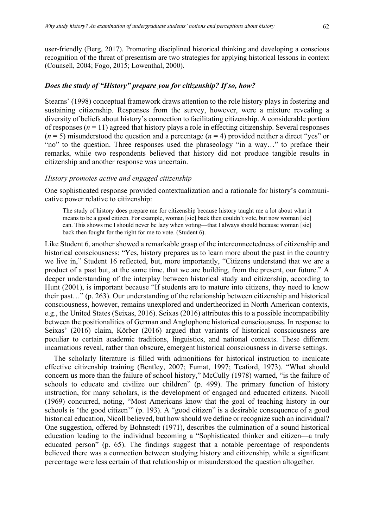user-friendly (Berg, 2017). Promoting disciplined historical thinking and developing a conscious recognition of the threat of presentism are two strategies for applying historical lessons in context (Counsell, 2004; Fogo, 2015; Lowenthal, 2000).

# *Does the study of "History" prepare you for citizenship? If so, how?*

Stearns' (1998) conceptual framework draws attention to the role history plays in fostering and sustaining citizenship. Responses from the survey, however, were a mixture revealing a diversity of beliefs about history's connection to facilitating citizenship. A considerable portion of responses  $(n = 11)$  agreed that history plays a role in effecting citizenship. Several responses  $(n = 5)$  misunderstood the question and a percentage  $(n = 4)$  provided neither a direct "yes" or "no" to the question. Three responses used the phraseology "in a way..." to preface their remarks, while two respondents believed that history did not produce tangible results in citizenship and another response was uncertain.

#### *History promotes active and engaged citizenship*

One sophisticated response provided contextualization and a rationale for history's communicative power relative to citizenship:

The study of history does prepare me for citizenship because history taught me a lot about what it means to be a good citizen. For example, woman [sic] back then couldn't vote, but now woman [sic] can. This shows me I should never be lazy when voting—that I always should because woman [sic] back then fought for the right for me to vote. (Student 6).

Like Student 6, another showed a remarkable grasp of the interconnectedness of citizenship and historical consciousness: "Yes, history prepares us to learn more about the past in the country we live in," Student 16 reflected, but, more importantly, "Citizens understand that we are a product of a past but, at the same time, that we are building, from the present, our future." A deeper understanding of the interplay between historical study and citizenship, according to Hunt (2001), is important because "If students are to mature into citizens, they need to know their past…" (p. 263). Our understanding of the relationship between citizenship and historical consciousness, however, remains unexplored and undertheorized in North American contexts, e.g., the United States (Seixas, 2016). Seixas (2016) attributes this to a possible incompatibility between the positionalities of German and Anglophone historical consciousness. In response to Seixas' (2016) claim, Körber (2016) argued that variants of historical consciousness are peculiar to certain academic traditions, linguistics, and national contexts. These different incarnations reveal, rather than obscure, emergent historical consciousness in diverse settings.

The scholarly literature is filled with admonitions for historical instruction to inculcate effective citizenship training (Bentley, 2007; Fumat, 1997; Teaford, 1973). "What should concern us more than the failure of school history," McCully (1978) warned, "is the failure of schools to educate and civilize our children" (p. 499). The primary function of history instruction, for many scholars, is the development of engaged and educated citizens. Nicoll (1969) concurred, noting, "Most Americans know that the goal of teaching history in our schools is 'the good citizen'" (p. 193). A "good citizen" is a desirable consequence of a good historical education, Nicoll believed, but how should we define or recognize such an individual? One suggestion, offered by Bohnstedt (1971), describes the culmination of a sound historical education leading to the individual becoming a "Sophisticated thinker and citizen—a truly educated person" (p. 65). The findings suggest that a notable percentage of respondents believed there was a connection between studying history and citizenship, while a significant percentage were less certain of that relationship or misunderstood the question altogether.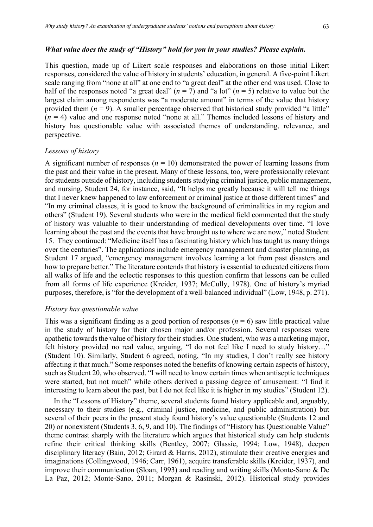#### *What value does the study of "History" hold for you in your studies? Please explain.*

This question, made up of Likert scale responses and elaborations on those initial Likert responses, considered the value of history in students' education, in general. A five-point Likert scale ranging from "none at all" at one end to "a great deal" at the other end was used. Close to half of the responses noted "a great deal"  $(n = 7)$  and "a lot"  $(n = 5)$  relative to value but the largest claim among respondents was "a moderate amount" in terms of the value that history provided them  $(n = 9)$ . A smaller percentage observed that historical study provided "a little"  $(n = 4)$  value and one response noted "none at all." Themes included lessons of history and history has questionable value with associated themes of understanding, relevance, and perspective.

#### *Lessons of history*

A significant number of responses  $(n = 10)$  demonstrated the power of learning lessons from the past and their value in the present. Many of these lessons, too, were professionally relevant for students outside of history, including students studying criminal justice, public management, and nursing. Student 24, for instance, said, "It helps me greatly because it will tell me things that I never knew happened to law enforcement or criminal justice at those different times" and "In my criminal classes, it is good to know the background of criminalities in my region and others" (Student 19). Several students who were in the medical field commented that the study of history was valuable to their understanding of medical developments over time. "I love learning about the past and the events that have brought us to where we are now," noted Student 15. They continued: "Medicine itself has a fascinating history which has taught us many things over the centuries". The applications include emergency management and disaster planning, as Student 17 argued, "emergency management involves learning a lot from past disasters and how to prepare better." The literature contends that history is essential to educated citizens from all walks of life and the eclectic responses to this question confirm that lessons can be culled from all forms of life experience (Kreider, 1937; McCully, 1978). One of history's myriad purposes, therefore, is "for the development of a well-balanced individual" (Low, 1948, p. 271).

#### *History has questionable value*

This was a significant finding as a good portion of responses  $(n = 6)$  saw little practical value in the study of history for their chosen major and/or profession. Several responses were apathetic towards the value of history for their studies. One student, who was a marketing major, felt history provided no real value, arguing, "I do not feel like I need to study history…" (Student 10). Similarly, Student 6 agreed, noting, "In my studies, I don't really see history affecting it that much." Some responses noted the benefits of knowing certain aspects of history, such as Student 20, who observed, "I will need to know certain times when antiseptic techniques were started, but not much" while others derived a passing degree of amusement: "I find it interesting to learn about the past, but I do not feel like it is higher in my studies" (Student 12).

In the "Lessons of History" theme, several students found history applicable and, arguably, necessary to their studies (e.g., criminal justice, medicine, and public administration) but several of their peers in the present study found history's value questionable (Students 12 and 20) or nonexistent (Students 3, 6, 9, and 10). The findings of "History has Questionable Value" theme contrast sharply with the literature which argues that historical study can help students refine their critical thinking skills (Bentley, 2007; Glassie, 1994; Low, 1948), deepen disciplinary literacy (Bain, 2012; Girard & Harris, 2012), stimulate their creative energies and imaginations (Collingwood, 1946; Carr, 1961), acquire transferable skills (Kreider, 1937), and improve their communication (Sloan, 1993) and reading and writing skills (Monte-Sano & De La Paz, 2012; Monte-Sano, 2011; Morgan & Rasinski, 2012). Historical study provides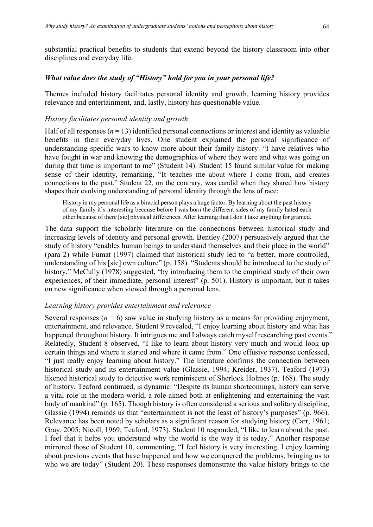# *What value does the study of "History" hold for you in your personal life?*

Themes included history facilitates personal identity and growth, learning history provides relevance and entertainment, and, lastly, history has questionable value.

# *History facilitates personal identity and growth*

Half of all responses  $(n = 13)$  identified personal connections or interest and identity as valuable benefits in their everyday lives. One student explained the personal significance of understanding specific wars to know more about their family history: "I have relatives who have fought in war and knowing the demographics of where they were and what was going on during that time is important to me" (Student 14). Student 15 found similar value for making sense of their identity, remarking, "It teaches me about where I come from, and creates connections to the past." Student 22, on the contrary, was candid when they shared how history shapes their evolving understanding of personal identity through the lens of race:

History in my personal life as a biracial person plays a huge factor. By learning about the past history of my family it's interesting because before I was born the different sides of my family hated each other because of there [sic] physical differences. After learning that I don't take anything for granted.

The data support the scholarly literature on the connections between historical study and increasing levels of identity and personal growth. Bentley (2007) persuasively argued that the study of history "enables human beings to understand themselves and their place in the world" (para 2) while Fumat (1997) claimed that historical study led to "a better, more controlled, understanding of his [sic] own culture" (p. 158). "Students should be introduced to the study of history," McCully (1978) suggested, "by introducing them to the empirical study of their own experiences, of their immediate, personal interest" (p. 501). History is important, but it takes on new significance when viewed through a personal lens.

# *Learning history provides entertainment and relevance*

Several responses ( $n = 6$ ) saw value in studying history as a means for providing enjoyment, entertainment, and relevance. Student 9 revealed, "I enjoy learning about history and what has happened throughout history. It intrigues me and I always catch myself researching past events." Relatedly, Student 8 observed, "I like to learn about history very much and would look up certain things and where it started and where it came from." One effusive response confessed, "I just really enjoy learning about history." The literature confirms the connection between historical study and its entertainment value (Glassie, 1994; Kreider, 1937). Teaford (1973) likened historical study to detective work reminiscent of Sherlock Holmes (p. 168). The study of history, Teaford continued, is dynamic: "Despite its human shortcomings, history can serve a vital role in the modern world, a role aimed both at enlightening and entertaining the vast body of mankind" (p. 165). Though history is often considered a serious and solitary discipline, Glassie (1994) reminds us that "entertainment is not the least of history's purposes" (p. 966). Relevance has been noted by scholars as a significant reason for studying history (Carr, 1961; Gray, 2005; Nicoll, 1969; Teaford, 1973). Student 10 responded, "I like to learn about the past. I feel that it helps you understand why the world is the way it is today." Another response mirrored those of Student 10, commenting, "I feel history is very interesting. I enjoy learning about previous events that have happened and how we conquered the problems, bringing us to who we are today" (Student 20). These responses demonstrate the value history brings to the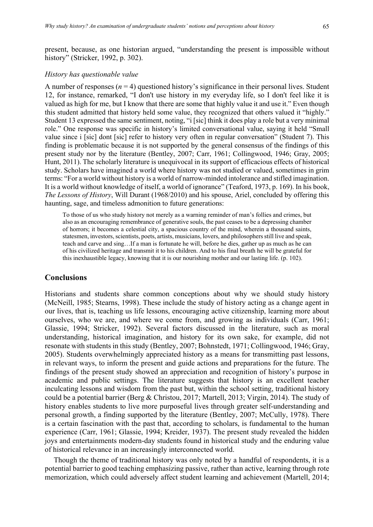present, because, as one historian argued, "understanding the present is impossible without history" (Stricker, 1992, p. 302).

#### *History has questionable value*

A number of responses  $(n = 4)$  questioned history's significance in their personal lives. Student 12, for instance, remarked, "I don't use history in my everyday life, so I don't feel like it is valued as high for me, but I know that there are some that highly value it and use it." Even though this student admitted that history held some value, they recognized that others valued it "highly." Student 13 expressed the same sentiment, noting, "i [sic] think it does play a role but a very minimal role." One response was specific in history's limited conversational value, saying it held "Small value since i [sic] dont [sic] refer to history very often in regular conversation" (Student 7). This finding is problematic because it is not supported by the general consensus of the findings of this present study nor by the literature (Bentley, 2007; Carr, 1961; Collingwood, 1946; Gray, 2005; Hunt, 2011). The scholarly literature is unequivocal in its support of efficacious effects of historical study. Scholars have imagined a world where history was not studied or valued, sometimes in grim terms: "For a world without history is a world of narrow-minded intolerance and stifled imagination. It is a world without knowledge of itself, a world of ignorance" (Teaford, 1973, p. 169). In his book, *The Lessons of History*, Will Durant (1968/2010) and his spouse, Ariel, concluded by offering this haunting, sage, and timeless admonition to future generations:

To those of us who study history not merely as a warning reminder of man's follies and crimes, but also as an encouraging remembrance of generative souls, the past ceases to be a depressing chamber of horrors; it becomes a celestial city, a spacious country of the mind, wherein a thousand saints, statesmen, investors, scientists, poets, artists, musicians, lovers, and philosophers still live and speak, teach and carve and sing…If a man is fortunate he will, before he dies, gather up as much as he can of his civilized heritage and transmit it to his children. And to his final breath he will be grateful for this inexhaustible legacy, knowing that it is our nourishing mother and our lasting life. (p. 102).

### **Conclusions**

Historians and students share common conceptions about why we should study history (McNeill, 1985; Stearns, 1998). These include the study of history acting as a change agent in our lives, that is, teaching us life lessons, encouraging active citizenship, learning more about ourselves, who we are, and where we come from, and growing as individuals (Carr, 1961; Glassie, 1994; Stricker, 1992). Several factors discussed in the literature, such as moral understanding, historical imagination, and history for its own sake, for example, did not resonate with students in this study (Bentley, 2007; Bohnstedt, 1971; Collingwood, 1946; Gray, 2005). Students overwhelmingly appreciated history as a means for transmitting past lessons, in relevant ways, to inform the present and guide actions and preparations for the future. The findings of the present study showed an appreciation and recognition of history's purpose in academic and public settings. The literature suggests that history is an excellent teacher inculcating lessons and wisdom from the past but, within the school setting, traditional history could be a potential barrier (Berg & Christou, 2017; Martell, 2013; Virgin, 2014). The study of history enables students to live more purposeful lives through greater self-understanding and personal growth, a finding supported by the literature (Bentley, 2007; McCully, 1978). There is a certain fascination with the past that, according to scholars, is fundamental to the human experience (Carr, 1961; Glassie, 1994; Kreider, 1937). The present study revealed the hidden joys and entertainments modern-day students found in historical study and the enduring value of historical relevance in an increasingly interconnected world.

Though the theme of traditional history was only noted by a handful of respondents, it is a potential barrier to good teaching emphasizing passive, rather than active, learning through rote memorization, which could adversely affect student learning and achievement (Martell, 2014;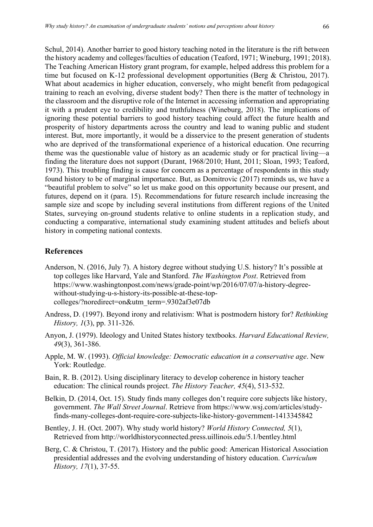Schul, 2014). Another barrier to good history teaching noted in the literature is the rift between the history academy and colleges/faculties of education (Teaford, 1971; Wineburg, 1991; 2018). The Teaching American History grant program, for example, helped address this problem for a time but focused on K-12 professional development opportunities (Berg & Christou, 2017). What about academics in higher education, conversely, who might benefit from pedagogical training to reach an evolving, diverse student body? Then there is the matter of technology in the classroom and the disruptive role of the Internet in accessing information and appropriating it with a prudent eye to credibility and truthfulness (Wineburg, 2018). The implications of ignoring these potential barriers to good history teaching could affect the future health and prosperity of history departments across the country and lead to waning public and student interest. But, more importantly, it would be a disservice to the present generation of students who are deprived of the transformational experience of a historical education. One recurring theme was the questionable value of history as an academic study or for practical living—a finding the literature does not support (Durant, 1968/2010; Hunt, 2011; Sloan, 1993; Teaford, 1973). This troubling finding is cause for concern as a percentage of respondents in this study found history to be of marginal importance. But, as Domitrovic (2017) reminds us, we have a "beautiful problem to solve" so let us make good on this opportunity because our present, and futures, depend on it (para. 15). Recommendations for future research include increasing the sample size and scope by including several institutions from different regions of the United States, surveying on-ground students relative to online students in a replication study, and conducting a comparative, international study examining student attitudes and beliefs about history in competing national contexts.

# **References**

- Anderson, N. (2016, July 7). A history degree without studying U.S. history? It's possible at top colleges like Harvard, Yale and Stanford. *The Washington Post*. Retrieved from https://www.washingtonpost.com/news/grade-point/wp/2016/07/07/a-history-degreewithout-studying-u-s-history-its-possible-at-these-topcolleges/?noredirect=on&utm\_term=.9302af3e07db
- Andress, D. (1997). Beyond irony and relativism: What is postmodern history for? *Rethinking History, 1*(3), pp. 311-326.
- Anyon, J. (1979). Ideology and United States history textbooks. *Harvard Educational Review, 49*(3), 361-386.
- Apple, M. W. (1993). *Official knowledge: Democratic education in a conservative age*. New York: Routledge.
- Bain, R. B. (2012). Using disciplinary literacy to develop coherence in history teacher education: The clinical rounds project. *The History Teacher, 45*(4), 513-532.
- Belkin, D. (2014, Oct. 15). Study finds many colleges don't require core subjects like history, government. *The Wall Street Journal*. Retrieve from https://www.wsj.com/articles/studyfinds-many-colleges-dont-require-core-subjects-like-history-government-1413345842
- Bentley, J. H. (Oct. 2007). Why study world history? *World History Connected, 5*(1), Retrieved from http://worldhistoryconnected.press.uillinois.edu/5.1/bentley.html
- Berg, C. & Christou, T. (2017). History and the public good: American Historical Association presidential addresses and the evolving understanding of history education. *Curriculum History, 17*(1), 37-55.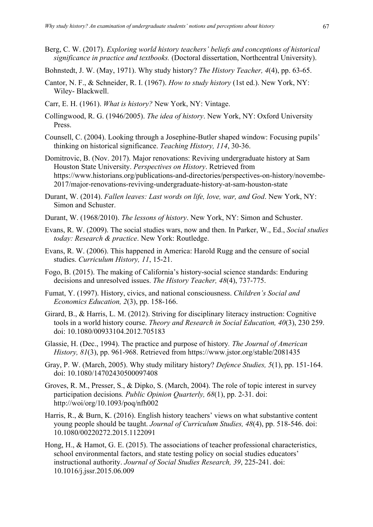Berg, C. W. (2017). *Exploring world history teachers' beliefs and conceptions of historical significance in practice and textbooks.* (Doctoral dissertation, Northcentral University).

Bohnstedt, J. W. (May, 1971). Why study history? *The History Teacher, 4*(4), pp. 63-65.

- Cantor, N. F., & Schneider, R. I. (1967). *How to study history* (1st ed.). New York, NY: Wiley- Blackwell.
- Carr, E. H. (1961). *What is history?* New York, NY: Vintage.
- Collingwood, R. G. (1946/2005). *The idea of history*. New York, NY: Oxford University Press.
- Counsell, C. (2004). Looking through a Josephine-Butler shaped window: Focusing pupils' thinking on historical significance. *Teaching History, 114*, 30-36.
- Domitrovic, B. (Nov. 2017). Major renovations: Reviving undergraduate history at Sam Houston State University. *Perspectives on History*. Retrieved from https://www.historians.org/publications-and-directories/perspectives-on-history/novembe-2017/major-renovations-reviving-undergraduate-history-at-sam-houston-state
- Durant, W. (2014). *Fallen leaves: Last words on life, love, war, and God*. New York, NY: Simon and Schuster.
- Durant, W. (1968/2010). *The lessons of history*. New York, NY: Simon and Schuster.
- Evans, R. W. (2009). The social studies wars, now and then. In Parker, W., Ed., *Social studies today: Research & practice*. New York: Routledge.
- Evans, R. W. (2006). This happened in America: Harold Rugg and the censure of social studies. *Curriculum History, 11*, 15-21.
- Fogo, B. (2015). The making of California's history-social science standards: Enduring decisions and unresolved issues. *The History Teacher, 48*(4), 737-775.
- Fumat, Y. (1997). History, civics, and national consciousness. *Children's Social and Economics Education, 2*(3), pp. 158-166.
- Girard, B., & Harris, L. M. (2012). Striving for disciplinary literacy instruction: Cognitive tools in a world history course. *Theory and Research in Social Education, 40*(3), 230 259. doi: 10.1080/00933104.2012.705183
- Glassie, H. (Dec., 1994). The practice and purpose of history*. The Journal of American History, 81*(3), pp. 961-968. Retrieved from https://www.jstor.org/stable/2081435
- Gray, P. W. (March, 2005). Why study military history? *Defence Studies, 5*(1), pp. 151-164. doi: 10.1080/14702430500097408
- Groves, R. M., Presser, S., & Dipko, S. (March, 2004). The role of topic interest in survey participation decisions*. Public Opinion Quarterly, 68*(1), pp. 2-31. doi: http://woi/org/10.1093/poq/nfh002
- Harris, R., & Burn, K. (2016). English history teachers' views on what substantive content young people should be taught. *Journal of Curriculum Studies, 48*(4), pp. 518-546. doi: 10.1080/00220272.2015.1122091
- Hong, H., & Hamot, G. E. (2015). The associations of teacher professional characteristics, school environmental factors, and state testing policy on social studies educators' instructional authority. *Journal of Social Studies Research, 39*, 225-241. doi: 10.1016/j.jssr.2015.06.009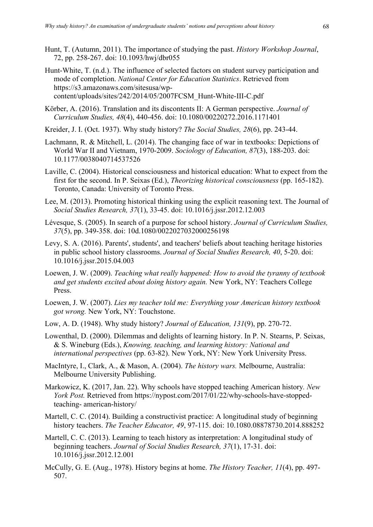- Hunt, T. (Autumn, 2011). The importance of studying the past. *History Workshop Journal*, 72, pp. 258-267. doi: 10.1093/hwj/dbr055
- Hunt-White, T. (n.d.). The influence of selected factors on student survey participation and mode of completion. *National Center for Education Statistics*. Retrieved from https://s3.amazonaws.com/sitesusa/wpcontent/uploads/sites/242/2014/05/2007FCSM\_Hunt-White-III-C.pdf
- Körber, A. (2016). Translation and its discontents II: A German perspective. *Journal of Curriculum Studies, 48*(4), 440-456. doi: 10.1080/00220272.2016.1171401
- Kreider, J. I. (Oct. 1937). Why study history? *The Social Studies, 28*(6), pp. 243-44.
- Lachmann, R. & Mitchell, L. (2014). The changing face of war in textbooks: Depictions of World War II and Vietnam, 1970-2009. *Sociology of Education, 87*(3), 188-203. doi: 10.1177/0038040714537526
- Laville, C. (2004). Historical consciousness and historical education: What to expect from the first for the second. In P. Seixas (Ed.), *Theorizing historical consciousness* (pp. 165-182). Toronto, Canada: University of Toronto Press.
- Lee, M. (2013). Promoting historical thinking using the explicit reasoning text. The Journal of *Social Studies Research, 37*(1), 33-45. doi: 10.1016/j.jssr.2012.12.003
- Lévesque, S. (2005). In search of a purpose for school history. *Journal of Curriculum Studies, 37*(5), pp. 349-358. doi: 10d.1080/0022027032000256198
- Levy, S. A. (2016). Parents', students', and teachers' beliefs about teaching heritage histories in public school history classrooms. *Journal of Social Studies Research, 40*, 5-20. doi: 10.1016/j.jssr.2015.04.003
- Loewen, J. W. (2009). *Teaching what really happened: How to avoid the tyranny of textbook and get students excited about doing history again.* New York, NY: Teachers College Press.
- Loewen, J. W. (2007). *Lies my teacher told me: Everything your American history textbook got wrong.* New York, NY: Touchstone.
- Low, A. D. (1948). Why study history? *Journal of Education, 131*(9), pp. 270-72.
- Lowenthal, D. (2000). Dilemmas and delights of learning history. In P. N. Stearns, P. Seixas, & S. Wineburg (Eds.), *Knowing, teaching, and learning history: National and international perspectives* (pp. 63-82). New York, NY: New York University Press.
- MacIntyre, I., Clark, A., & Mason, A. (2004). *The history wars.* Melbourne, Australia: Melbourne University Publishing.
- Markowicz, K. (2017, Jan. 22). Why schools have stopped teaching American history*. New York Post.* Retrieved from https://nypost.com/2017/01/22/why-schools-have-stoppedteaching- american-history/
- Martell, C. C. (2014). Building a constructivist practice: A longitudinal study of beginning history teachers. *The Teacher Educator, 49*, 97-115. doi: 10.1080.08878730.2014.888252
- Martell, C. C. (2013). Learning to teach history as interpretation: A longitudinal study of beginning teachers. *Journal of Social Studies Research, 37*(1), 17-31. doi: 10.1016/j.jssr.2012.12.001
- McCully, G. E. (Aug., 1978). History begins at home. *The History Teacher, 11*(4), pp. 497- 507.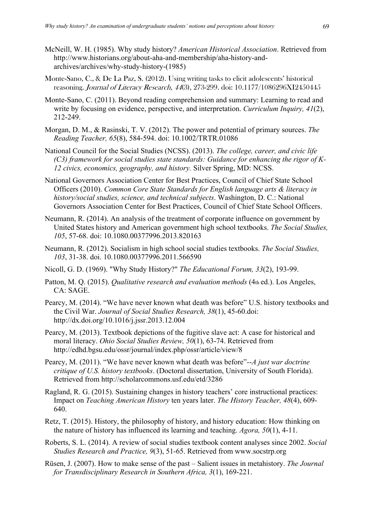- McNeill, W. H. (1985). Why study history? *American Historical Association*. Retrieved from http://www.historians.org/about-aha-and-membership/aha-history-andarchives/archives/why-study-history-(1985)
- Monte-Sano, C., & De La Paz, S. (2012). Using writing tasks to elicit adolescents' historical reasoning. Journal of Literacy Research, 44(3), 273-299. doi: 10.1177/1086296XI2450445
- Monte-Sano, C. (2011). Beyond reading comprehension and summary: Learning to read and write by focusing on evidence, perspective, and interpretation. *Curriculum Inquiry, 41*(2), 212-249.
- Morgan, D. M., & Rasinski, T. V. (2012). The power and potential of primary sources. *The Reading Teacher, 65*(8), 584-594. doi: 10.1002/TRTR.01086
- National Council for the Social Studies (NCSS). (2013). *The college, career, and civic life (C3) framework for social studies state standards: Guidance for enhancing the rigor of K-12 civics, economics, geography, and history.* Silver Spring, MD: NCSS.
- National Governors Association Center for Best Practices, Council of Chief State School Officers (2010). *Common Core State Standards for English language arts & literacy in history/social studies, science, and technical subjects*. Washington, D. C.: National Governors Association Center for Best Practices, Council of Chief State School Officers.
- Neumann, R. (2014). An analysis of the treatment of corporate influence on government by United States history and American government high school textbooks. *The Social Studies, 105*, 57-68. doi: 10.1080.00377996.2013.820163
- Neumann, R. (2012). Socialism in high school social studies textbooks. *The Social Studies, 103*, 31-38. doi. 10.1080.00377996.2011.566590
- Nicoll, G. D. (1969). "Why Study History?" *The Educational Forum, 33*(2), 193-99.
- Patton, M. Q. (2015). *Qualitative research and evaluation methods* (4th ed.). Los Angeles, CA: SAGE.
- Pearcy, M. (2014). "We have never known what death was before" U.S. history textbooks and the Civil War. *Journal of Social Studies Research, 38*(1), 45-60.doi: http://dx.doi.org/10.1016/j.jssr.2013.12.004
- Pearcy, M. (2013). Textbook depictions of the fugitive slave act: A case for historical and moral literacy. *Ohio Social Studies Review, 50*(1), 63-74. Retrieved from http://edhd.bgsu.edu/ossr/journal/index.php/ossr/article/view/8
- Pearcy, M. (2011). "We have never known what death was before"--*A just war doctrine critique of U.S. history textbooks*. (Doctoral dissertation, University of South Florida). Retrieved from http://scholarcommons.usf.edu/etd/3286
- Ragland, R. G. (2015). Sustaining changes in history teachers' core instructional practices: Impact on *Teaching American History* ten years later. *The History Teacher, 48*(4), 609- 640.
- Retz, T. (2015). History, the philosophy of history, and history education: How thinking on the nature of history has influenced its learning and teaching. *Agora, 50*(1), 4-11.
- Roberts, S. L. (2014). A review of social studies textbook content analyses since 2002. *Social Studies Research and Practice, 9*(3), 51-65. Retrieved from www.socstrp.org
- Rüsen, J. (2007). How to make sense of the past Salient issues in metahistory. *The Journal for Transdisciplinary Research in Southern Africa, 3*(1), 169-221.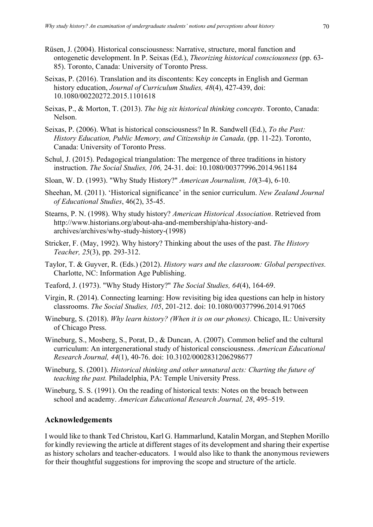- Rüsen, J. (2004). Historical consciousness: Narrative, structure, moral function and ontogenetic development. In P. Seixas (Ed.), *Theorizing historical consciousness* (pp. 63- 85). Toronto, Canada: University of Toronto Press.
- Seixas, P. (2016). Translation and its discontents: Key concepts in English and German history education, *Journal of Curriculum Studies, 48*(4), 427-439, doi: 10.1080/00220272.2015.1101618
- Seixas, P., & Morton, T. (2013). *The big six historical thinking concepts*. Toronto, Canada: Nelson.
- Seixas, P. (2006). What is historical consciousness? In R. Sandwell (Ed.), *To the Past: History Education, Public Memory, and Citizenship in Canada,* (pp. 11-22). Toronto, Canada: University of Toronto Press.
- Schul, J. (2015). Pedagogical triangulation: The mergence of three traditions in history instruction. *The Social Studies, 106,* 24-31. doi: 10.1080/00377996.2014.961184
- Sloan, W. D. (1993). "Why Study History?" *American Journalism, 10*(3-4), 6-10.
- Sheehan, M. (2011). 'Historical significance' in the senior curriculum. *New Zealand Journal of Educational Studies*, 46(2), 35-45.
- Stearns, P. N. (1998). Why study history? *American Historical Association*. Retrieved from http://www.historians.org/about-aha-and-membership/aha-history-andarchives/archives/why-study-history-(1998)
- Stricker, F. (May, 1992). Why history? Thinking about the uses of the past. *The History Teacher, 25*(3), pp. 293-312.
- Taylor, T. & Guyver, R. (Eds.) (2012). *History wars and the classroom: Global perspectives.* Charlotte, NC: Information Age Publishing.
- Teaford, J. (1973). "Why Study History?" *The Social Studies, 64*(4), 164-69.
- Virgin, R. (2014). Connecting learning: How revisiting big idea questions can help in history classrooms. *The Social Studies, 105*, 201-212. doi: 10.1080/00377996.2014.917065
- Wineburg, S. (2018). *Why learn history? (When it is on our phones).* Chicago, IL: University of Chicago Press.
- Wineburg, S., Mosberg, S., Porat, D., & Duncan, A. (2007). Common belief and the cultural curriculum: An intergenerational study of historical consciousness. *American Educational Research Journal, 44*(1), 40-76. doi: 10.3102/0002831206298677
- Wineburg, S. (2001). *Historical thinking and other unnatural acts: Charting the future of teaching the past.* Philadelphia, PA: Temple University Press.
- Wineburg, S. S. (1991). On the reading of historical texts: Notes on the breach between school and academy. *American Educational Research Journal, 28*, 495–519.

# **Acknowledgements**

I would like to thank Ted Christou, Karl G. Hammarlund, Katalin Morgan, and Stephen Morillo for kindly reviewing the article at different stages of its development and sharing their expertise as history scholars and teacher-educators. I would also like to thank the anonymous reviewers for their thoughtful suggestions for improving the scope and structure of the article.